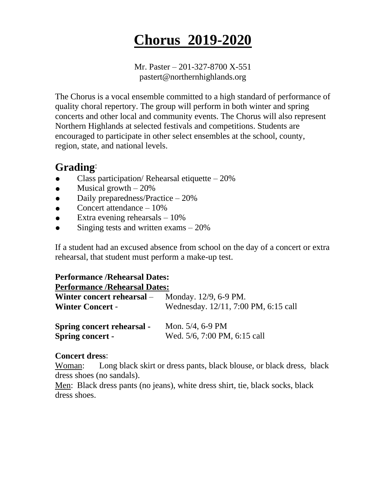# **Chorus 2019-2020**

Mr. Paster – 201-327-8700 X-551 pastert@northernhighlands.org

The Chorus is a vocal ensemble committed to a high standard of performance of quality choral repertory. The group will perform in both winter and spring concerts and other local and community events. The Chorus will also represent Northern Highlands at selected festivals and competitions. Students are encouraged to participate in other select ensembles at the school, county, region, state, and national levels.

# **Grading**:

- Class participation/ Rehearsal etiquette  $-20%$
- Musical growth  $-20%$
- $\bullet$  Daily preparedness/Practice 20%
- Concert attendance  $-10%$
- Extra evening rehearsals  $-10\%$
- Singing tests and written exams  $-20%$

If a student had an excused absence from school on the day of a concert or extra rehearsal, that student must perform a make-up test.

## **Performance /Rehearsal Dates:**

### **Performance /Rehearsal Dates:**

| Winter concert rehearsal –        | Monday. 12/9, 6-9 PM.                |
|-----------------------------------|--------------------------------------|
| <b>Winter Concert -</b>           | Wednesday. 12/11, 7:00 PM, 6:15 call |
| <b>Spring concert rehearsal -</b> | Mon. $5/4$ , 6-9 PM                  |
| <b>Spring concert -</b>           | Wed. 5/6, 7:00 PM, 6:15 call         |

### **Concert dress**:

Woman: Long black skirt or dress pants, black blouse, or black dress, black dress shoes (no sandals).

Men: Black dress pants (no jeans), white dress shirt, tie, black socks, black dress shoes.